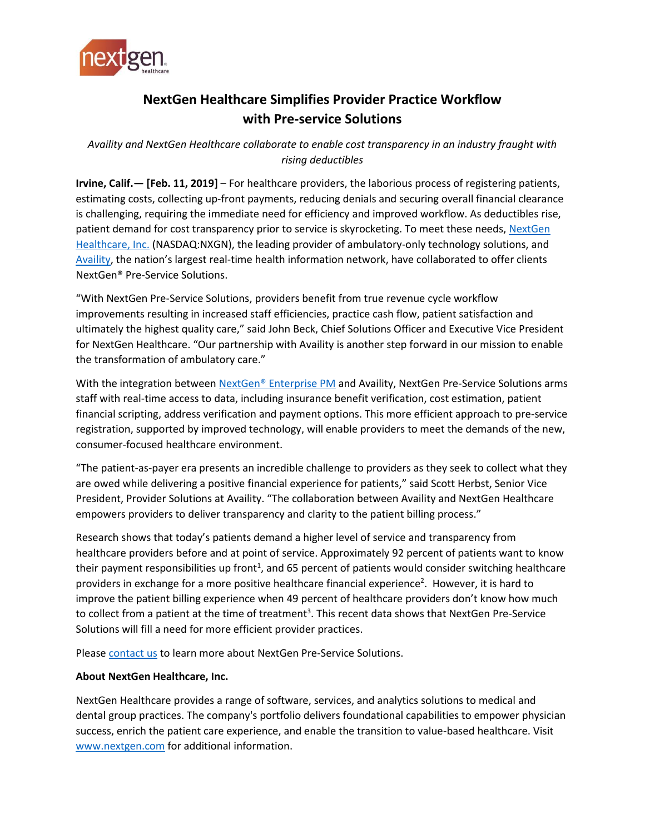

## **NextGen Healthcare Simplifies Provider Practice Workflow with Pre-service Solutions**

*Availity and NextGen Healthcare collaborate to enable cost transparency in an industry fraught with rising deductibles*

**Irvine, Calif.— [Feb. 11, 2019]** – For healthcare providers, the laborious process of registering patients, estimating costs, collecting up-front payments, reducing denials and securing overall financial clearance is challenging, requiring the immediate need for efficiency and improved workflow. As deductibles rise, patient demand for cost transparency prior to service is skyrocketing. To meet these needs, NextGen [Healthcare, Inc.](https://www.nextgen.com/) (NASDAQ:NXGN), the leading provider of ambulatory-only technology solutions, and [Availity](http://www.availity.com/), the nation's largest real-time health information network, have collaborated to offer clients NextGen® Pre-Service Solutions.

"With NextGen Pre-Service Solutions, providers benefit from true revenue cycle workflow improvements resulting in increased staff efficiencies, practice cash flow, patient satisfaction and ultimately the highest quality care," said John Beck, Chief Solutions Officer and Executive Vice President for NextGen Healthcare. "Our partnership with Availity is another step forward in our mission to enable the transformation of ambulatory care."

With the integration between [NextGen® Enterprise PM](https://www.nextgen.com/products-and-services/practice-management) and Availity, NextGen Pre-Service Solutions arms staff with real-time access to data, including insurance benefit verification, cost estimation, patient financial scripting, address verification and payment options. This more efficient approach to pre-service registration, supported by improved technology, will enable providers to meet the demands of the new, consumer-focused healthcare environment.

"The patient-as-payer era presents an incredible challenge to providers as they seek to collect what they are owed while delivering a positive financial experience for patients," said Scott Herbst, Senior Vice President, Provider Solutions at Availity. "The collaboration between Availity and NextGen Healthcare empowers providers to deliver transparency and clarity to the patient billing process."

Research shows that today's patients demand a higher level of service and transparency from healthcare providers before and at point of service. Approximately 92 percent of patients want to know their payment responsibilities up front<sup>1</sup>, and 65 percent of patients would consider switching healthcare providers in exchange for a more positive healthcare financial experience<sup>2</sup>. However, it is hard to improve the patient billing experience when 49 percent of healthcare providers don't know how much to collect from a patient at the time of treatment<sup>3</sup>. This recent data shows that NextGen Pre-Service Solutions will fill a need for more efficient provider practices.

Please [contact us](https://www.nextgen.com/contact-us) to learn more about NextGen Pre-Service Solutions.

## **About NextGen Healthcare, Inc.**

NextGen Healthcare provides a range of software, services, and analytics solutions to medical and dental group practices. The company's portfolio delivers foundational capabilities to empower physician success, enrich the patient care experience, and enable the transition to value-based healthcare. Visit [www.nextgen.com](http://www.nextgen.com/) for additional information.